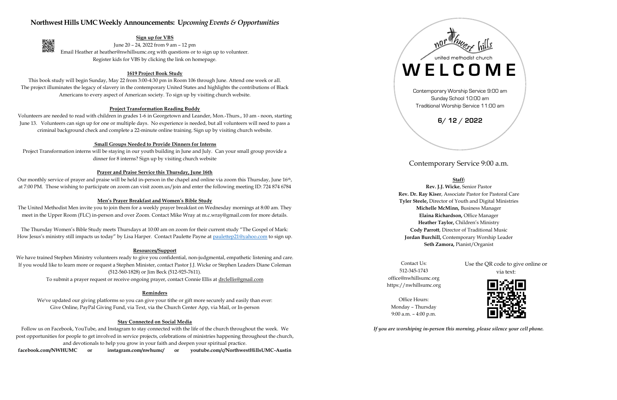## **Northwest Hills UMC Weekly Announcements: U***pcoming Events & Opportunities*



### **Sign up for VBS**

June 20 – 24, 2022 from 9 am – 12 pm Email Heather at heather@nwhillsumc.org with questions or to sign up to volunteer. Register kids for VBS by clicking the link on homepage.

### **1619 Project Book Study**

This book study will begin Sunday, May 22 from 3:00-4:30 pm in Room 106 through June. Attend one week or all. The project illuminates the legacy of slavery in the contemporary United States and highlights the contributions of Black Americans to every aspect of American society. To sign up by visiting church website.

Project Transformation interns will be staying in our youth building in June and July. Can your small group provide a dinner for 8 interns? Sign up by visiting church website

#### **Project Transformation Reading Buddy**

Our monthly service of prayer and praise will be held in-person in the chapel and online via zoom this Thursday, June 16<sup>th</sup>, at 7:00 PM. Those wishing to participate on zoom can visit zoom.us/join and enter the following meeting ID: 724 874 6784

Volunteers are needed to read with children in grades 1-6 in Georgetown and Leander, Mon.-Thurs., 10 am - noon, starting June 13. Volunteers can sign up for one or multiple days. No experience is needed, but all volunteers will need to pass a criminal background check and complete a 22-minute online training. Sign up by visiting church website.

The Thursday Women's Bible Study meets Thursdays at 10:00 am on zoom for their current study "The Gospel of Mark: How Jesus's ministry still impacts us today" by Lisa Harper. Contact Paulette Payne at [paulettep21@yahoo.com](mailto:paulettep21@yahoo.com) to sign up.

#### **Small Groups Needed to Provide Dinners for Interns**

### **Prayer and Praise Service this Thursday, June 16th**

#### **Men's Prayer Breakfast and Women's Bible Study**

The United Methodist Men invite you to join them for a weekly prayer breakfast on Wednesday mornings at 8:00 am. They meet in the Upper Room (FLC) in-person and over Zoom. Contact Mike Wray at m.c.wray@gmail.com for more details.

#### **Resources/Support**

We have trained Stephen Ministry volunteers ready to give you confidential, non-judgmental, empathetic listening and care. If you would like to learn more or request a Stephen Minister, contact Pastor J.J. Wicke or Stephen Leaders Diane Coleman (512-560-1828) or Jim Beck (512-925-7611).

To submit a prayer request or receive ongoing prayer, contact Connie Ellis at [drclellis@gmail.com](mailto:drclellis@gmail.com)

#### **Reminders**

We've updated our giving platforms so you can give your tithe or gift more securely and easily than ever: Give Online, PayPal Giving Fund, via Text, via the Church Center App, via Mail, or In-person

#### **Stay Connected on Social Media**

Follow us on Facebook, YouTube, and Instagram to stay connected with the life of the church throughout the week. We post opportunities for people to get involved in service projects, celebrations of ministries happening throughout the church, and devotionals to help you grow in your faith and deepen your spiritual practice.

**facebook.com/NWHUMC or instagram.com/nwhumc/ or youtube.com/c/NorthwestHillsUMC-Austin**

Contemporary Service 9:00 a.m.

## **Staff:**

**Rev. J.J. Wicke**, Senior Pastor **Rev. Dr. Ray Kiser**, Associate Pastor for Pastoral Care **Tyler Steele,** Director of Youth and Digital Ministries **Michelle McMinn,** Business Manager **Elaina Richardson,** Office Manager **Heather Taylor,** Children's Ministry **Cody Parrott**, Director of Traditional Music **Jordan Burchill,** Contemporary Worship Leader **Seth Zamora,** Pianist/Organist

Contact Us: 512-345-1743 office@nwhillsumc.org https://nwhillsumc.org Use the QR code to give online or via text:



Office Hours: Monday – Thursday 9:00 a.m. – 4:00 p.m.

*If you are worshiping in-person this morning, please silence your cell phone.*



Traditional Worship Service 11:00 am

# **6/ 12 / 2022**